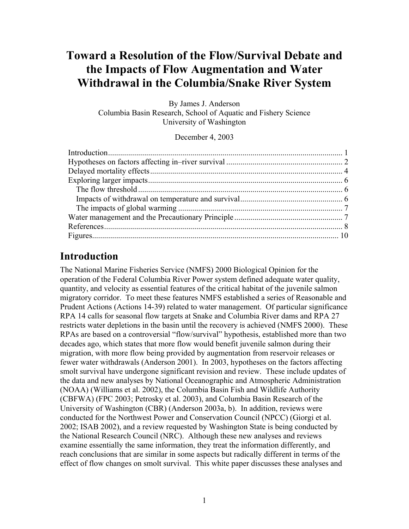# **Toward a Resolution of the Flow/Survival Debate and the Impacts of Flow Augmentation and Water Withdrawal in the Columbia/Snake River System**

By James J. Anderson Columbia Basin Research, School of Aquatic and Fishery Science University of Washington

December 4, 2003

## **Introduction**

The National Marine Fisheries Service (NMFS) 2000 Biological Opinion for the operation of the Federal Columbia River Power system defined adequate water quality, quantity, and velocity as essential features of the critical habitat of the juvenile salmon migratory corridor. To meet these features NMFS established a series of Reasonable and Prudent Actions (Actions 14-39) related to water management. Of particular significance RPA 14 calls for seasonal flow targets at Snake and Columbia River dams and RPA 27 restricts water depletions in the basin until the recovery is achieved (NMFS 2000). These RPAs are based on a controversial "flow/survival" hypothesis, established more than two decades ago, which states that more flow would benefit juvenile salmon during their migration, with more flow being provided by augmentation from reservoir releases or fewer water withdrawals (Anderson 2001). In 2003, hypotheses on the factors affecting smolt survival have undergone significant revision and review. These include updates of the data and new analyses by National Oceanographic and Atmospheric Administration (NOAA) (Williams et al. 2002), the Columbia Basin Fish and Wildlife Authority (CBFWA) (FPC 2003; Petrosky et al. 2003), and Columbia Basin Research of the University of Washington (CBR) (Anderson 2003a, b). In addition, reviews were conducted for the Northwest Power and Conservation Council (NPCC) (Giorgi et al. 2002; ISAB 2002), and a review requested by Washington State is being conducted by the National Research Council (NRC). Although these new analyses and reviews examine essentially the same information, they treat the information differently, and reach conclusions that are similar in some aspects but radically different in terms of the effect of flow changes on smolt survival. This white paper discusses these analyses and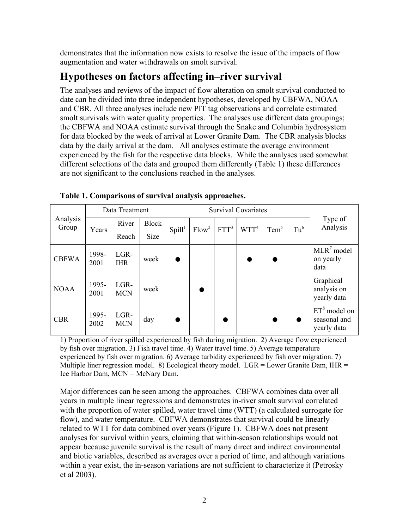demonstrates that the information now exists to resolve the issue of the impacts of flow augmentation and water withdrawals on smolt survival.

## **Hypotheses on factors affecting in–river survival**

The analyses and reviews of the impact of flow alteration on smolt survival conducted to date can be divided into three independent hypotheses, developed by CBFWA, NOAA and CBR. All three analyses include new PIT tag observations and correlate estimated smolt survivals with water quality properties. The analyses use different data groupings; the CBFWA and NOAA estimate survival through the Snake and Columbia hydrosystem for data blocked by the week of arrival at Lower Granite Dam. The CBR analysis blocks data by the daily arrival at the dam. All analyses estimate the average environment experienced by the fish for the respective data blocks. While the analyses used somewhat different selections of the data and grouped them differently (Table 1) these differences are not significant to the conclusions reached in the analyses.

|                   | Data Treatment |                    |              | <b>Survival Covariates</b> |                   |         |         |                  |                 |                                               |
|-------------------|----------------|--------------------|--------------|----------------------------|-------------------|---------|---------|------------------|-----------------|-----------------------------------------------|
| Analysis<br>Group | Years          | River              | <b>Block</b> | Spill <sup>1</sup>         | Flow <sup>2</sup> | $FTT^3$ | $WTT^4$ | Tem <sup>5</sup> | Tu <sup>6</sup> | Type of<br>Analysis                           |
|                   |                | Reach              | <b>Size</b>  |                            |                   |         |         |                  |                 |                                               |
| <b>CBFWA</b>      | 1998-<br>2001  | LGR-<br><b>IHR</b> | week         |                            |                   |         |         |                  |                 | $MLR7 \text{ model}$<br>on yearly<br>data     |
| <b>NOAA</b>       | 1995-<br>2001  | LGR-<br><b>MCN</b> | week         |                            |                   |         |         |                  |                 | Graphical<br>analysis on<br>yearly data       |
| <b>CBR</b>        | 1995-<br>2002  | LGR-<br><b>MCN</b> | day          |                            |                   |         |         |                  |                 | $ET8$ model on<br>seasonal and<br>yearly data |

**Table 1. Comparisons of survival analysis approaches.** 

1) Proportion of river spilled experienced by fish during migration. 2) Average flow experienced by fish over migration. 3) Fish travel time. 4) Water travel time. 5) Average temperature experienced by fish over migration. 6) Average turbidity experienced by fish over migration. 7) Multiple liner regression model. 8) Ecological theory model.  $LGR = Lower$  Granite Dam, IHR = Ice Harbor Dam, MCN = McNary Dam.

Major differences can be seen among the approaches. CBFWA combines data over all years in multiple linear regressions and demonstrates in-river smolt survival correlated with the proportion of water spilled, water travel time (WTT) (a calculated surrogate for flow), and water temperature. CBFWA demonstrates that survival could be linearly related to WTT for data combined over years (Figure 1). CBFWA does not present analyses for survival within years, claiming that within-season relationships would not appear because juvenile survival is the result of many direct and indirect environmental and biotic variables, described as averages over a period of time, and although variations within a year exist, the in-season variations are not sufficient to characterize it (Petrosky et al 2003).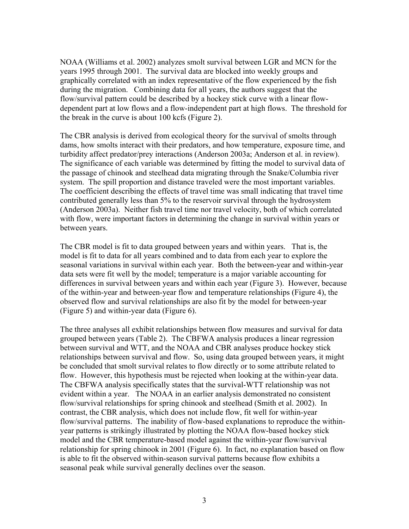NOAA (Williams et al. 2002) analyzes smolt survival between LGR and MCN for the years 1995 through 2001. The survival data are blocked into weekly groups and graphically correlated with an index representative of the flow experienced by the fish during the migration. Combining data for all years, the authors suggest that the flow/survival pattern could be described by a hockey stick curve with a linear flowdependent part at low flows and a flow-independent part at high flows. The threshold for the break in the curve is about 100 kcfs (Figure 2).

The CBR analysis is derived from ecological theory for the survival of smolts through dams, how smolts interact with their predators, and how temperature, exposure time, and turbidity affect predator/prey interactions (Anderson 2003a; Anderson et al. in review). The significance of each variable was determined by fitting the model to survival data of the passage of chinook and steelhead data migrating through the Snake/Columbia river system. The spill proportion and distance traveled were the most important variables. The coefficient describing the effects of travel time was small indicating that travel time contributed generally less than 5% to the reservoir survival through the hydrosystem (Anderson 2003a). Neither fish travel time nor travel velocity, both of which correlated with flow, were important factors in determining the change in survival within years or between years.

The CBR model is fit to data grouped between years and within years. That is, the model is fit to data for all years combined and to data from each year to explore the seasonal variations in survival within each year. Both the between-year and within-year data sets were fit well by the model; temperature is a major variable accounting for differences in survival between years and within each year (Figure 3). However, because of the within-year and between-year flow and temperature relationships (Figure 4), the observed flow and survival relationships are also fit by the model for between-year (Figure 5) and within-year data (Figure 6).

The three analyses all exhibit relationships between flow measures and survival for data grouped between years (Table 2). The CBFWA analysis produces a linear regression between survival and WTT, and the NOAA and CBR analyses produce hockey stick relationships between survival and flow. So, using data grouped between years, it might be concluded that smolt survival relates to flow directly or to some attribute related to flow. However, this hypothesis must be rejected when looking at the within-year data. The CBFWA analysis specifically states that the survival-WTT relationship was not evident within a year. The NOAA in an earlier analysis demonstrated no consistent flow/survival relationships for spring chinook and steelhead (Smith et al. 2002). In contrast, the CBR analysis, which does not include flow, fit well for within-year flow/survival patterns. The inability of flow-based explanations to reproduce the withinyear patterns is strikingly illustrated by plotting the NOAA flow-based hockey stick model and the CBR temperature-based model against the within-year flow/survival relationship for spring chinook in 2001 (Figure 6). In fact, no explanation based on flow is able to fit the observed within-season survival patterns because flow exhibits a seasonal peak while survival generally declines over the season.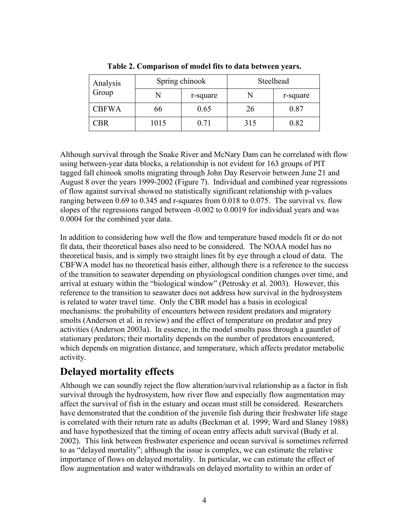| Analysis<br>Group |      | Spring chinook | Steelhead |          |  |
|-------------------|------|----------------|-----------|----------|--|
|                   |      | r-square       | N         | r-square |  |
| <b>CBFWA</b>      | 66   | 0.65           | 26        | 0.87     |  |
| CBR               | 1015 | 0.71           | 315       | 0.82     |  |

**Table 2. Comparison of model fits to data between years.** 

Although survival through the Snake River and McNary Dam can be correlated with flow using between-year data blocks, a relationship is not evident for 163 groups of PIT tagged fall chinook smolts migrating through John Day Reservoir between June 21 and August 8 over the years 1999-2002 (Figure 7). Individual and combined year regressions of flow against survival showed no statistically significant relationship with p-values ranging between 0.69 to 0.345 and r-squares from 0.018 to 0.075. The survival vs. flow slopes of the regressions ranged between -0.002 to 0.0019 for individual years and was 0.0004 for the combined year data.

In addition to considering how well the flow and temperature based models fit or do not fit data, their theoretical bases also need to be considered. The NOAA model has no theoretical basis, and is simply two straight lines fit by eye through a cloud of data. The CBFWA model has no theoretical basis either, although there is a reference to the success of the transition to seawater depending on physiological condition changes over time, and arrival at estuary within the "biological window" (Petrosky et al. 2003). However, this reference to the transition to seawater does not address how survival in the hydrosystem is related to water travel time. Only the CBR model has a basis in ecological mechanisms: the probability of encounters between resident predators and migratory smolts (Anderson et al. in review) and the effect of temperature on predator and prey activities (Anderson 2003a). In essence, in the model smolts pass through a gauntlet of stationary predators; their mortality depends on the number of predators encountered, which depends on migration distance, and temperature, which affects predator metabolic activity.

# **Delayed mortality effects**

Although we can soundly reject the flow alteration/survival relationship as a factor in fish survival through the hydrosystem, how river flow and especially flow augmentation may affect the survival of fish in the estuary and ocean must still be considered. Researchers have demonstrated that the condition of the juvenile fish during their freshwater life stage is correlated with their return rate as adults (Beckman et al. 1999; Ward and Slaney 1988) and have hypothesized that the timing of ocean entry affects adult survival (Budy et al. 2002). This link between freshwater experience and ocean survival is sometimes referred to as "delayed mortality"; although the issue is complex, we can estimate the relative importance of flows on delayed mortality. In particular, we can estimate the effect of flow augmentation and water withdrawals on delayed mortality to within an order of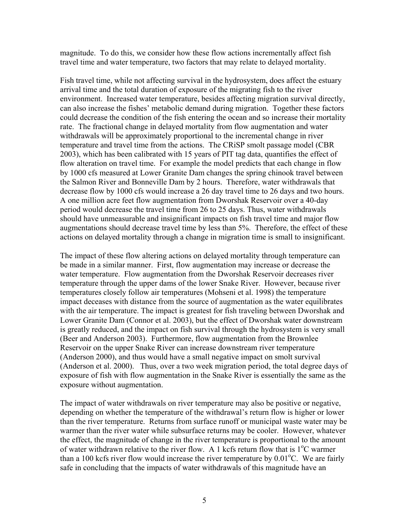magnitude. To do this, we consider how these flow actions incrementally affect fish travel time and water temperature, two factors that may relate to delayed mortality.

Fish travel time, while not affecting survival in the hydrosystem, does affect the estuary arrival time and the total duration of exposure of the migrating fish to the river environment. Increased water temperature, besides affecting migration survival directly, can also increase the fishes' metabolic demand during migration. Together these factors could decrease the condition of the fish entering the ocean and so increase their mortality rate. The fractional change in delayed mortality from flow augmentation and water withdrawals will be approximately proportional to the incremental change in river temperature and travel time from the actions. The CRiSP smolt passage model (CBR 2003), which has been calibrated with 15 years of PIT tag data, quantifies the effect of flow alteration on travel time. For example the model predicts that each change in flow by 1000 cfs measured at Lower Granite Dam changes the spring chinook travel between the Salmon River and Bonneville Dam by 2 hours. Therefore, water withdrawals that decrease flow by 1000 cfs would increase a 26 day travel time to 26 days and two hours. A one million acre feet flow augmentation from Dworshak Reservoir over a 40-day period would decrease the travel time from 26 to 25 days. Thus, water withdrawals should have unmeasurable and insignificant impacts on fish travel time and major flow augmentations should decrease travel time by less than 5%. Therefore, the effect of these actions on delayed mortality through a change in migration time is small to insignificant.

The impact of these flow altering actions on delayed mortality through temperature can be made in a similar manner. First, flow augmentation may increase or decrease the water temperature. Flow augmentation from the Dworshak Reservoir decreases river temperature through the upper dams of the lower Snake River. However, because river temperatures closely follow air temperatures (Mohseni et al. 1998) the temperature impact deceases with distance from the source of augmentation as the water equilibrates with the air temperature. The impact is greatest for fish traveling between Dworshak and Lower Granite Dam (Connor et al. 2003), but the effect of Dworshak water downstream is greatly reduced, and the impact on fish survival through the hydrosystem is very small (Beer and Anderson 2003). Furthermore, flow augmentation from the Brownlee Reservoir on the upper Snake River can increase downstream river temperature (Anderson 2000), and thus would have a small negative impact on smolt survival (Anderson et al. 2000). Thus, over a two week migration period, the total degree days of exposure of fish with flow augmentation in the Snake River is essentially the same as the exposure without augmentation.

The impact of water withdrawals on river temperature may also be positive or negative, depending on whether the temperature of the withdrawal's return flow is higher or lower than the river temperature. Returns from surface runoff or municipal waste water may be warmer than the river water while subsurface returns may be cooler. However, whatever the effect, the magnitude of change in the river temperature is proportional to the amount of water withdrawn relative to the river flow. A 1 kcfs return flow that is  $1^{\circ}$ C warmer than a 100 kcfs river flow would increase the river temperature by  $0.01^{\circ}$ C. We are fairly safe in concluding that the impacts of water withdrawals of this magnitude have an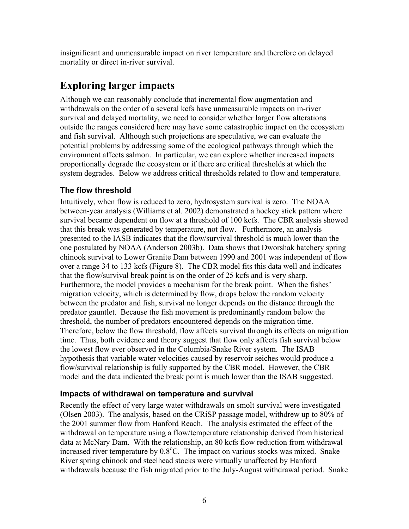insignificant and unmeasurable impact on river temperature and therefore on delayed mortality or direct in-river survival.

## **Exploring larger impacts**

Although we can reasonably conclude that incremental flow augmentation and withdrawals on the order of a several kcfs have unmeasurable impacts on in-river survival and delayed mortality, we need to consider whether larger flow alterations outside the ranges considered here may have some catastrophic impact on the ecosystem and fish survival. Although such projections are speculative, we can evaluate the potential problems by addressing some of the ecological pathways through which the environment affects salmon. In particular, we can explore whether increased impacts proportionally degrade the ecosystem or if there are critical thresholds at which the system degrades. Below we address critical thresholds related to flow and temperature.

#### **The flow threshold**

Intuitively, when flow is reduced to zero, hydrosystem survival is zero. The NOAA between-year analysis (Williams et al. 2002) demonstrated a hockey stick pattern where survival became dependent on flow at a threshold of 100 kcfs. The CBR analysis showed that this break was generated by temperature, not flow. Furthermore, an analysis presented to the IASB indicates that the flow/survival threshold is much lower than the one postulated by NOAA (Anderson 2003b). Data shows that Dworshak hatchery spring chinook survival to Lower Granite Dam between 1990 and 2001 was independent of flow over a range 34 to 133 kcfs (Figure 8). The CBR model fits this data well and indicates that the flow/survival break point is on the order of 25 kcfs and is very sharp. Furthermore, the model provides a mechanism for the break point. When the fishes' migration velocity, which is determined by flow, drops below the random velocity between the predator and fish, survival no longer depends on the distance through the predator gauntlet. Because the fish movement is predominantly random below the threshold, the number of predators encountered depends on the migration time. Therefore, below the flow threshold, flow affects survival through its effects on migration time. Thus, both evidence and theory suggest that flow only affects fish survival below the lowest flow ever observed in the Columbia/Snake River system. The ISAB hypothesis that variable water velocities caused by reservoir seiches would produce a flow/survival relationship is fully supported by the CBR model. However, the CBR model and the data indicated the break point is much lower than the ISAB suggested.

#### **Impacts of withdrawal on temperature and survival**

Recently the effect of very large water withdrawals on smolt survival were investigated (Olsen 2003). The analysis, based on the CRiSP passage model, withdrew up to 80% of the 2001 summer flow from Hanford Reach. The analysis estimated the effect of the withdrawal on temperature using a flow/temperature relationship derived from historical data at McNary Dam. With the relationship, an 80 kcfs flow reduction from withdrawal increased river temperature by 0.8°C. The impact on various stocks was mixed. Snake River spring chinook and steelhead stocks were virtually unaffected by Hanford withdrawals because the fish migrated prior to the July-August withdrawal period. Snake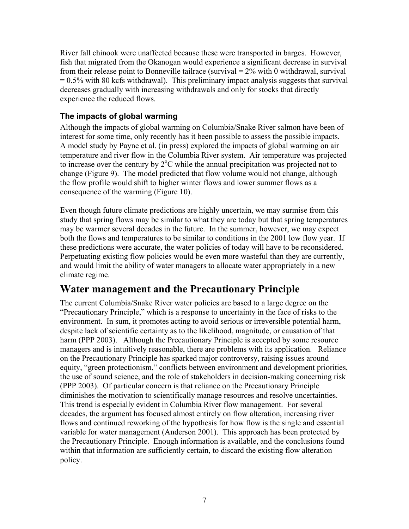River fall chinook were unaffected because these were transported in barges. However, fish that migrated from the Okanogan would experience a significant decrease in survival from their release point to Bonneville tailrace (survival  $= 2\%$  with 0 withdrawal, survival  $= 0.5\%$  with 80 kcfs withdrawal). This preliminary impact analysis suggests that survival decreases gradually with increasing withdrawals and only for stocks that directly experience the reduced flows.

#### **The impacts of global warming**

Although the impacts of global warming on Columbia/Snake River salmon have been of interest for some time, only recently has it been possible to assess the possible impacts. A model study by Payne et al. (in press) explored the impacts of global warming on air temperature and river flow in the Columbia River system. Air temperature was projected to increase over the century by  $2^{\circ}$ C while the annual precipitation was projected not to change (Figure 9). The model predicted that flow volume would not change, although the flow profile would shift to higher winter flows and lower summer flows as a consequence of the warming (Figure 10).

Even though future climate predictions are highly uncertain, we may surmise from this study that spring flows may be similar to what they are today but that spring temperatures may be warmer several decades in the future. In the summer, however, we may expect both the flows and temperatures to be similar to conditions in the 2001 low flow year. If these predictions were accurate, the water policies of today will have to be reconsidered. Perpetuating existing flow policies would be even more wasteful than they are currently, and would limit the ability of water managers to allocate water appropriately in a new climate regime.

## **Water management and the Precautionary Principle**

The current Columbia/Snake River water policies are based to a large degree on the "Precautionary Principle," which is a response to uncertainty in the face of risks to the environment. In sum, it promotes acting to avoid serious or irreversible potential harm, despite lack of scientific certainty as to the likelihood, magnitude, or causation of that harm (PPP 2003). Although the Precautionary Principle is accepted by some resource managers and is intuitively reasonable, there are problems with its application. Reliance on the Precautionary Principle has sparked major controversy, raising issues around equity, "green protectionism," conflicts between environment and development priorities, the use of sound science, and the role of stakeholders in decision-making concerning risk (PPP 2003). Of particular concern is that reliance on the Precautionary Principle diminishes the motivation to scientifically manage resources and resolve uncertainties. This trend is especially evident in Columbia River flow management. For several decades, the argument has focused almost entirely on flow alteration, increasing river flows and continued reworking of the hypothesis for how flow is the single and essential variable for water management (Anderson 2001). This approach has been protected by the Precautionary Principle. Enough information is available, and the conclusions found within that information are sufficiently certain, to discard the existing flow alteration policy.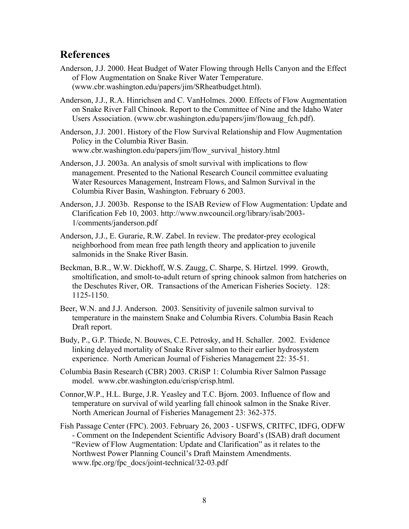### **References**

- Anderson, J.J. 2000. Heat Budget of Water Flowing through Hells Canyon and the Effect of Flow Augmentation on Snake River Water Temperature. (www.cbr.washington.edu/papers/jim/SRheatbudget.html).
- Anderson, J.J., R.A. Hinrichsen and C. VanHolmes. 2000. Effects of Flow Augmentation on Snake River Fall Chinook. Report to the Committee of Nine and the Idaho Water Users Association. (www.cbr.washington.edu/papers/jim/flowaug\_fch.pdf).

Anderson, J.J. 2001. History of the Flow Survival Relationship and Flow Augmentation Policy in the Columbia River Basin. www.cbr.washington.edu/papers/jim/flow\_survival\_history.html

- Anderson, J.J. 2003a. An analysis of smolt survival with implications to flow management. Presented to the National Research Council committee evaluating Water Resources Management, Instream Flows, and Salmon Survival in the Columbia River Basin, Washington. February 6 2003.
- Anderson, J.J. 2003b. Response to the ISAB Review of Flow Augmentation: Update and Clarification Feb 10, 2003. http://www.nwcouncil.org/library/isab/2003- 1/comments/janderson.pdf
- Anderson, J.J., E. Gurarie, R.W. Zabel. In review. The predator-prey ecological neighborhood from mean free path length theory and application to juvenile salmonids in the Snake River Basin.
- Beckman, B.R., W.W. Dickhoff, W.S. Zaugg, C. Sharpe, S. Hirtzel. 1999. Growth, smoltification, and smolt-to-adult return of spring chinook salmon from hatcheries on the Deschutes River, OR. Transactions of the American Fisheries Society. 128: 1125-1150.
- Beer, W.N. and J.J. Anderson. 2003. Sensitivity of juvenile salmon survival to temperature in the mainstem Snake and Columbia Rivers. Columbia Basin Reach Draft report.
- Budy, P., G.P. Thiede, N. Bouwes, C.E. Petrosky, and H. Schaller. 2002. Evidence linking delayed mortality of Snake River salmon to their earlier hydrosystem experience. North American Journal of Fisheries Management 22: 35-51.
- Columbia Basin Research (CBR) 2003. CRiSP 1: Columbia River Salmon Passage model. www.cbr.washington.edu/crisp/crisp.html.
- Connor,W.P., H.L. Burge, J.R. Yeasley and T.C. Bjorn. 2003. Influence of flow and temperature on survival of wild yearling fall chinook salmon in the Snake River. North American Journal of Fisheries Management 23: 362-375.
- Fish Passage Center (FPC). 2003. February 26, 2003 USFWS, CRITFC, IDFG, ODFW - Comment on the Independent Scientific Advisory Board's (ISAB) draft document "Review of Flow Augmentation: Update and Clarification" as it relates to the Northwest Power Planning Council's Draft Mainstem Amendments. www.fpc.org/fpc\_docs/joint-technical/32-03.pdf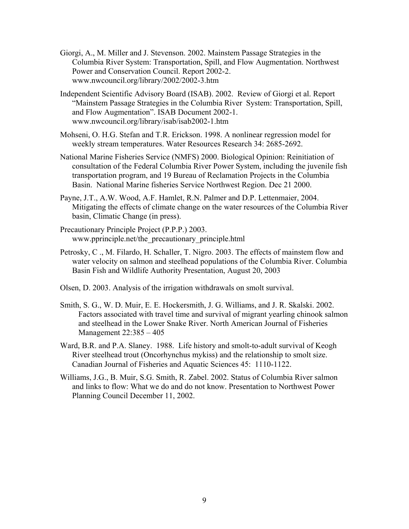- Giorgi, A., M. Miller and J. Stevenson. 2002. Mainstem Passage Strategies in the Columbia River System: Transportation, Spill, and Flow Augmentation. Northwest Power and Conservation Council. Report 2002-2. www.nwcouncil.org/library/2002/2002-3.htm
- Independent Scientific Advisory Board (ISAB). 2002. Review of Giorgi et al. Report "Mainstem Passage Strategies in the Columbia River System: Transportation, Spill, and Flow Augmentation". ISAB Document 2002-1. www.nwcouncil.org/library/isab/isab2002-1.htm
- Mohseni, O. H.G. Stefan and T.R. Erickson. 1998. A nonlinear regression model for weekly stream temperatures. Water Resources Research 34: 2685-2692.
- National Marine Fisheries Service (NMFS) 2000. Biological Opinion: Reinitiation of consultation of the Federal Columbia River Power System, including the juvenile fish transportation program, and 19 Bureau of Reclamation Projects in the Columbia Basin. National Marine fisheries Service Northwest Region. Dec 21 2000.
- Payne, J.T., A.W. Wood, A.F. Hamlet, R.N. Palmer and D.P. Lettenmaier, 2004. Mitigating the effects of climate change on the water resources of the Columbia River basin, Climatic Change (in press).
- Precautionary Principle Project (P.P.P.) 2003. www.pprinciple.net/the\_precautionary\_principle.html
- Petrosky, C ., M. Filardo, H. Schaller, T. Nigro. 2003. The effects of mainstem flow and water velocity on salmon and steelhead populations of the Columbia River. Columbia Basin Fish and Wildlife Authority Presentation, August 20, 2003
- Olsen, D. 2003. Analysis of the irrigation withdrawals on smolt survival.
- Smith, S. G., W. D. Muir, E. E. Hockersmith, J. G. Williams, and J. R. Skalski. 2002. Factors associated with travel time and survival of migrant yearling chinook salmon and steelhead in the Lower Snake River. North American Journal of Fisheries Management 22:385 – 405
- Ward, B.R. and P.A. Slaney. 1988. Life history and smolt-to-adult survival of Keogh River steelhead trout (Oncorhynchus mykiss) and the relationship to smolt size. Canadian Journal of Fisheries and Aquatic Sciences 45: 1110-1122.
- Williams, J.G., B. Muir, S.G. Smith, R. Zabel. 2002. Status of Columbia River salmon and links to flow: What we do and do not know. Presentation to Northwest Power Planning Council December 11, 2002.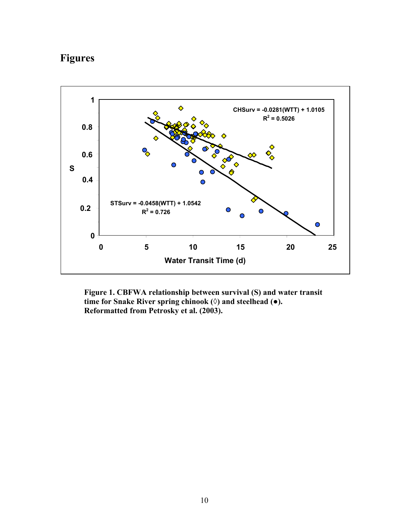# **Figures**



**Figure 1. CBFWA relationship between survival (S) and water transit time for Snake River spring chinook (◊) and steelhead (●). Reformatted from Petrosky et al. (2003).**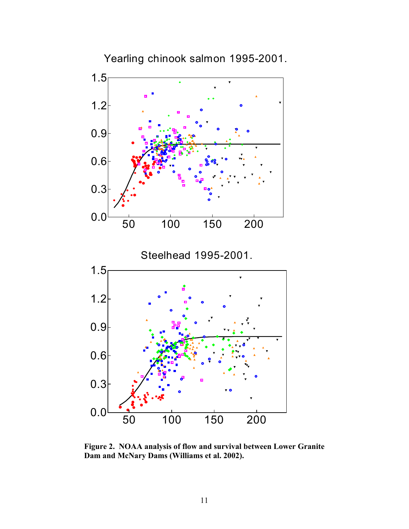

**Figure 2. NOAA analysis of flow and survival between Lower Granite Dam and McNary Dams (Williams et al. 2002).**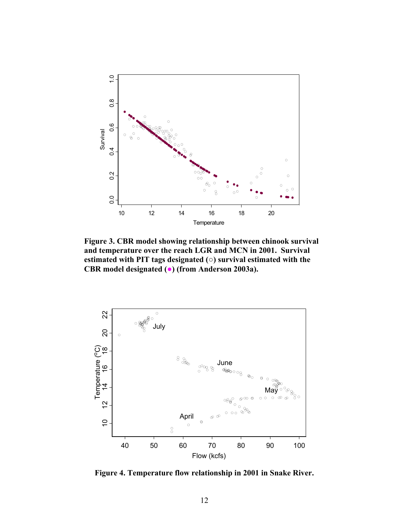

**Figure 3. CBR model showing relationship between chinook survival and temperature over the reach LGR and MCN in 2001. Survival estimated with PIT tags designated (○) survival estimated with the CBR model designated (●) (from Anderson 2003a).** 



**Figure 4. Temperature flow relationship in 2001 in Snake River.**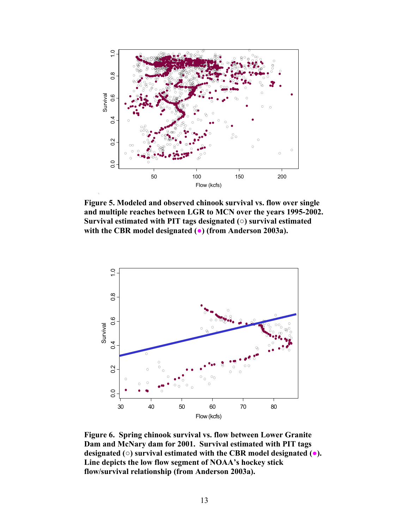

**Figure 5. Modeled and observed chinook survival vs. flow over single and multiple reaches between LGR to MCN over the years 1995-2002. Survival estimated with PIT tags designated (○) survival estimated with the CBR model designated (●) (from Anderson 2003a).** 



**Figure 6. Spring chinook survival vs. flow between Lower Granite Dam and McNary dam for 2001. Survival estimated with PIT tags designated (○) survival estimated with the CBR model designated (●). Line depicts the low flow segment of NOAA's hockey stick flow/survival relationship (from Anderson 2003a).**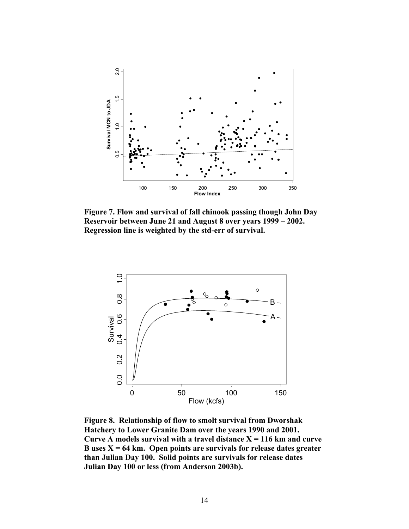

**Figure 7. Flow and survival of fall chinook passing though John Day Reservoir between June 21 and August 8 over years 1999 – 2002. Regression line is weighted by the std-err of survival.** 



**Figure 8. Relationship of flow to smolt survival from Dworshak Hatchery to Lower Granite Dam over the years 1990 and 2001.**  Curve A models survival with a travel distance  $X = 116$  km and curve **B uses X = 64 km. Open points are survivals for release dates greater than Julian Day 100. Solid points are survivals for release dates Julian Day 100 or less (from Anderson 2003b).**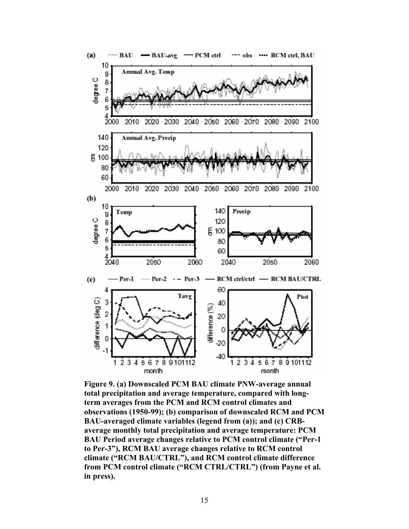

**Figure 9. (a) Downscaled PCM BAU climate PNW-average annual total precipitation and average temperature, compared with longterm averages from the PCM and RCM control climates and observations (1950-99); (b) comparison of downscaled RCM and PCM BAU-averaged climate variables (legend from (a)); and (c) CRBaverage monthly total precipitation and average temperature: PCM BAU Period average changes relative to PCM control climate ("Per-1 to Per-3"), RCM BAU average changes relative to RCM control climate ("RCM BAU/CTRL"), and RCM control climate difference from PCM control climate ("RCM CTRL/CTRL") (from Payne et al. in press).**